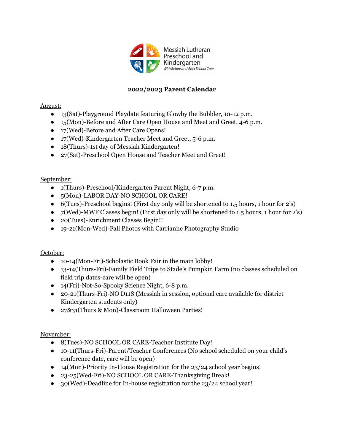

# **2022/2023 Parent Calendar**

## August:

- 13(Sat)-Playground Playdate featuring Glowby the Bubbler, 10-12 p.m.
- 15(Mon)-Before and After Care Open House and Meet and Greet, 4-6 p.m.
- 17(Wed)-Before and After Care Opens!
- 17(Wed)-Kindergarten Teacher Meet and Greet, 5-6 p.m.
- 18(Thurs)-1st day of Messiah Kindergarten!
- 27(Sat)-Preschool Open House and Teacher Meet and Greet!

### September:

- 1(Thurs)-Preschool/Kindergarten Parent Night, 6-7 p.m.
- 5(Mon)-LABOR DAY-NO SCHOOL OR CARE!
- 6(Tues)-Preschool begins! (First day only will be shortened to 1.5 hours, 1 hour for 2's)
- 7(Wed)-MWF Classes begin! (First day only will be shortened to 1.5 hours, 1 hour for 2's)
- 20(Tues)-Enrichment Classes Begin!!
- 19-21(Mon-Wed)-Fall Photos with Carrianne Photography Studio

#### October:

- 10-14(Mon-Fri)-Scholastic Book Fair in the main lobby!
- 13-14(Thurs-Fri)-Family Field Trips to Stade's Pumpkin Farm (no classes scheduled on field trip dates-care will be open)
- 14(Fri)-Not-So-Spooky Science Night, 6-8 p.m.
- 20-21(Thurs-Fri)-NO D118 (Messiah in session, optional care available for district Kindergarten students only)
- 27&31(Thurs & Mon)-Classroom Halloween Parties!

## November:

- 8(Tues)-NO SCHOOL OR CARE-Teacher Institute Day!
- 10-11(Thurs-Fri)-Parent/Teacher Conferences (No school scheduled on your child's conference date, care will be open)
- 14(Mon)-Priority In-House Registration for the 23/24 school year begins!
- 23-25(Wed-Fri)-NO SCHOOL OR CARE-Thanksgiving Break!
- 30(Wed)-Deadline for In-house registration for the 23/24 school year!